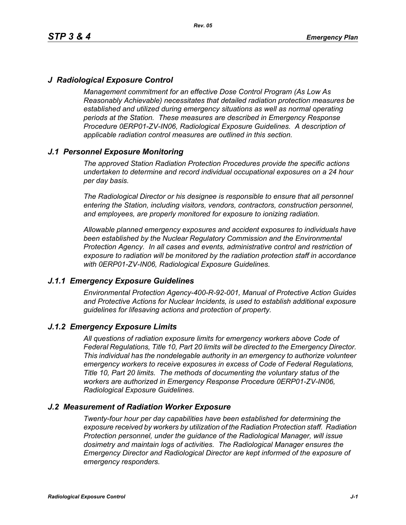## *J Radiological Exposure Control*

*Management commitment for an effective Dose Control Program (As Low As Reasonably Achievable) necessitates that detailed radiation protection measures be established and utilized during emergency situations as well as normal operating periods at the Station. These measures are described in Emergency Response Procedure 0ERP01-ZV-IN06, Radiological Exposure Guidelines. A description of applicable radiation control measures are outlined in this section.*

## *J.1 Personnel Exposure Monitoring*

*The approved Station Radiation Protection Procedures provide the specific actions undertaken to determine and record individual occupational exposures on a 24 hour per day basis.*

*The Radiological Director or his designee is responsible to ensure that all personnel entering the Station, including visitors, vendors, contractors, construction personnel, and employees, are properly monitored for exposure to ionizing radiation.*

*Allowable planned emergency exposures and accident exposures to individuals have been established by the Nuclear Regulatory Commission and the Environmental Protection Agency. In all cases and events, administrative control and restriction of exposure to radiation will be monitored by the radiation protection staff in accordance with 0ERP01-ZV-IN06, Radiological Exposure Guidelines.*

### *J.1.1 Emergency Exposure Guidelines*

*Environmental Protection Agency-400-R-92-001, Manual of Protective Action Guides and Protective Actions for Nuclear Incidents, is used to establish additional exposure guidelines for lifesaving actions and protection of property.*

### *J.1.2 Emergency Exposure Limits*

*All questions of radiation exposure limits for emergency workers above Code of Federal Regulations, Title 10, Part 20 limits will be directed to the Emergency Director. This individual has the nondelegable authority in an emergency to authorize volunteer emergency workers to receive exposures in excess of Code of Federal Regulations, Title 10, Part 20 limits. The methods of documenting the voluntary status of the workers are authorized in Emergency Response Procedure 0ERP01-ZV-IN06, Radiological Exposure Guidelines.*

### *J.2 Measurement of Radiation Worker Exposure*

*Twenty-four hour per day capabilities have been established for determining the exposure received by workers by utilization of the Radiation Protection staff. Radiation Protection personnel, under the guidance of the Radiological Manager, will issue dosimetry and maintain logs of activities. The Radiological Manager ensures the Emergency Director and Radiological Director are kept informed of the exposure of emergency responders.*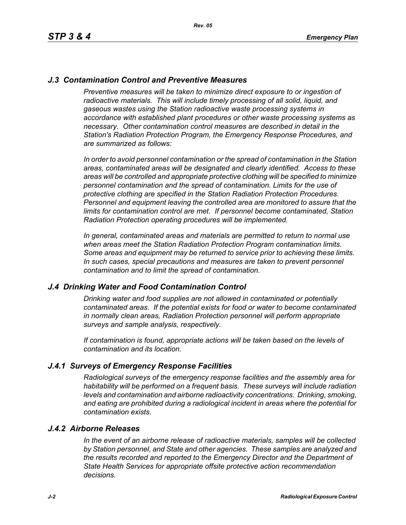## *J.3 Contamination Control and Preventive Measures*

*Preventive measures will be taken to minimize direct exposure to or ingestion of* radioactive materials. This will include timely processing of all solid, liquid, and *gaseous wastes using the Station radioactive waste processing systems in accordance with established plant procedures or other waste processing systems as necessary. Other contamination control measures are described in detail in the Station's Radiation Protection Program, the Emergency Response Procedures, and are summarized as follows:*

*In order to avoid personnel contamination or the spread of contamination in the Station areas, contaminated areas will be designated and clearly identified. Access to these areas will be controlled and appropriate protective clothing will be specified to minimize personnel contamination and the spread of contamination. Limits for the use of protective clothing are specified in the Station Radiation Protection Procedures. Personnel and equipment leaving the controlled area are monitored to assure that the limits for contamination control are met. If personnel become contaminated, Station Radiation Protection operating procedures will be implemented.* 

*In general, contaminated areas and materials are permitted to return to normal use when areas meet the Station Radiation Protection Program contamination limits. Some areas and equipment may be returned to service prior to achieving these limits. In such cases, special precautions and measures are taken to prevent personnel contamination and to limit the spread of contamination.*

### *J.4 Drinking Water and Food Contamination Control*

*Drinking water and food supplies are not allowed in contaminated or potentially contaminated areas. If the potential exists for food or water to become contaminated in normally clean areas, Radiation Protection personnel will perform appropriate surveys and sample analysis, respectively.*

*If contamination is found, appropriate actions will be taken based on the levels of contamination and its location.*

### *J.4.1 Surveys of Emergency Response Facilities*

*Radiological surveys of the emergency response facilities and the assembly area for habitability will be performed on a frequent basis. These surveys will include radiation levels and contamination and airborne radioactivity concentrations. Drinking, smoking, and eating are prohibited during a radiological incident in areas where the potential for contamination exists.*

#### *J.4.2 Airborne Releases*

*In the event of an airborne release of radioactive materials, samples will be collected by Station personnel, and State and other agencies. These samples are analyzed and the results recorded and reported to the Emergency Director and the Department of State Health Services for appropriate offsite protective action recommendation decisions.*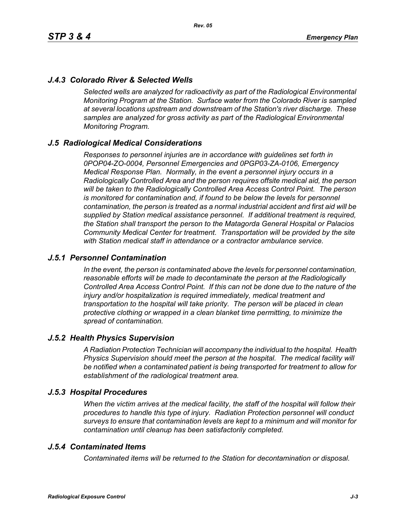# *J.4.3 Colorado River & Selected Wells*

*Selected wells are analyzed for radioactivity as part of the Radiological Environmental Monitoring Program at the Station. Surface water from the Colorado River is sampled at several locations upstream and downstream of the Station's river discharge. These samples are analyzed for gross activity as part of the Radiological Environmental Monitoring Program.*

### *J.5 Radiological Medical Considerations*

*Responses to personnel injuries are in accordance with guidelines set forth in 0POP04-ZO-0004, Personnel Emergencies and 0PGP03-ZA-0106, Emergency Medical Response Plan. Normally, in the event a personnel injury occurs in a Radiologically Controlled Area and the person requires offsite medical aid, the person will be taken to the Radiologically Controlled Area Access Control Point. The person is monitored for contamination and, if found to be below the levels for personnel contamination, the person is treated as a normal industrial accident and first aid will be supplied by Station medical assistance personnel. If additional treatment is required, the Station shall transport the person to the Matagorda General Hospital or Palacios Community Medical Center for treatment. Transportation will be provided by the site with Station medical staff in attendance or a contractor ambulance service.*

### *J.5.1 Personnel Contamination*

*In the event, the person is contaminated above the levels for personnel contamination, reasonable efforts will be made to decontaminate the person at the Radiologically Controlled Area Access Control Point. If this can not be done due to the nature of the injury and/or hospitalization is required immediately, medical treatment and transportation to the hospital will take priority. The person will be placed in clean protective clothing or wrapped in a clean blanket time permitting, to minimize the spread of contamination.*

### *J.5.2 Health Physics Supervision*

*A Radiation Protection Technician will accompany the individual to the hospital. Health Physics Supervision should meet the person at the hospital. The medical facility will be notified when a contaminated patient is being transported for treatment to allow for establishment of the radiological treatment area.*

## *J.5.3 Hospital Procedures*

*When the victim arrives at the medical facility, the staff of the hospital will follow their procedures to handle this type of injury. Radiation Protection personnel will conduct surveys to ensure that contamination levels are kept to a minimum and will monitor for contamination until cleanup has been satisfactorily completed.*

### *J.5.4 Contaminated Items*

*Contaminated items will be returned to the Station for decontamination or disposal.*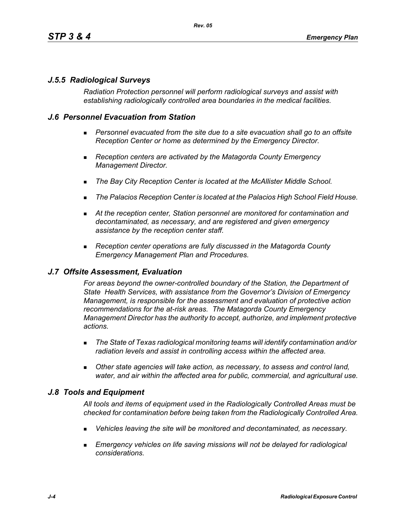## *J.5.5 Radiological Surveys*

*Radiation Protection personnel will perform radiological surveys and assist with establishing radiologically controlled area boundaries in the medical facilities.*

## *J.6 Personnel Evacuation from Station*

- **Personnel evacuated from the site due to a site evacuation shall go to an offsite** *Reception Center or home as determined by the Emergency Director.*
- *Reception centers are activated by the Matagorda County Emergency Management Director.*
- *The Bay City Reception Center is located at the McAllister Middle School.*
- *The Palacios Reception Center is located at the Palacios High School Field House.*
- *At the reception center, Station personnel are monitored for contamination and decontaminated, as necessary, and are registered and given emergency assistance by the reception center staff.*
- *Reception center operations are fully discussed in the Matagorda County Emergency Management Plan and Procedures.*

### *J.7 Offsite Assessment, Evaluation*

*For areas beyond the owner-controlled boundary of the Station, the Department of State Health Services, with assistance from the Governor's Division of Emergency Management, is responsible for the assessment and evaluation of protective action recommendations for the at-risk areas. The Matagorda County Emergency Management Director has the authority to accept, authorize, and implement protective actions.*

- *The State of Texas radiological monitoring teams will identify contamination and/or radiation levels and assist in controlling access within the affected area.*
- *Other state agencies will take action, as necessary, to assess and control land, water, and air within the affected area for public, commercial, and agricultural use.*

## *J.8 Tools and Equipment*

*All tools and items of equipment used in the Radiologically Controlled Areas must be checked for contamination before being taken from the Radiologically Controlled Area.*

- *Vehicles leaving the site will be monitored and decontaminated, as necessary.*
- **Emergency vehicles on life saving missions will not be delayed for radiological** *considerations.*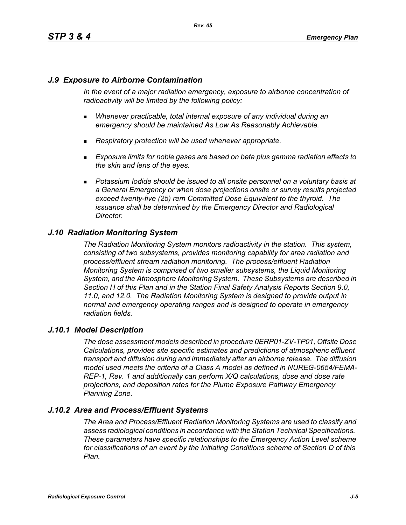## *J.9 Exposure to Airborne Contamination*

*In the event of a major radiation emergency, exposure to airborne concentration of radioactivity will be limited by the following policy:*

- *Whenever practicable, total internal exposure of any individual during an emergency should be maintained As Low As Reasonably Achievable.*
- *Respiratory protection will be used whenever appropriate.*
- *Exposure limits for noble gases are based on beta plus gamma radiation effects to the skin and lens of the eyes.*
- **Potassium Iodide should be issued to all onsite personnel on a voluntary basis at** *a General Emergency or when dose projections onsite or survey results projected exceed twenty-five (25) rem Committed Dose Equivalent to the thyroid. The issuance shall be determined by the Emergency Director and Radiological Director.*

## *J.10 Radiation Monitoring System*

*The Radiation Monitoring System monitors radioactivity in the station. This system, consisting of two subsystems, provides monitoring capability for area radiation and process/effluent stream radiation monitoring. The process/effluent Radiation Monitoring System is comprised of two smaller subsystems, the Liquid Monitoring System, and the Atmosphere Monitoring System. These Subsystems are described in Section H of this Plan and in the Station Final Safety Analysis Reports Section 9.0, 11.0, and 12.0. The Radiation Monitoring System is designed to provide output in normal and emergency operating ranges and is designed to operate in emergency radiation fields.*

### *J.10.1 Model Description*

*The dose assessment models described in procedure 0ERP01-ZV-TP01, Offsite Dose Calculations, provides site specific estimates and predictions of atmospheric effluent transport and diffusion during and immediately after an airborne release. The diffusion model used meets the criteria of a Class A model as defined in NUREG-0654/FEMA-REP-1, Rev. 1 and additionally can perform X/Q calculations, dose and dose rate projections, and deposition rates for the Plume Exposure Pathway Emergency Planning Zone.*

## *J.10.2 Area and Process/Effluent Systems*

*The Area and Process/Effluent Radiation Monitoring Systems are used to classify and assess radiological conditions in accordance with the Station Technical Specifications. These parameters have specific relationships to the Emergency Action Level scheme for classifications of an event by the Initiating Conditions scheme of Section D of this Plan.*